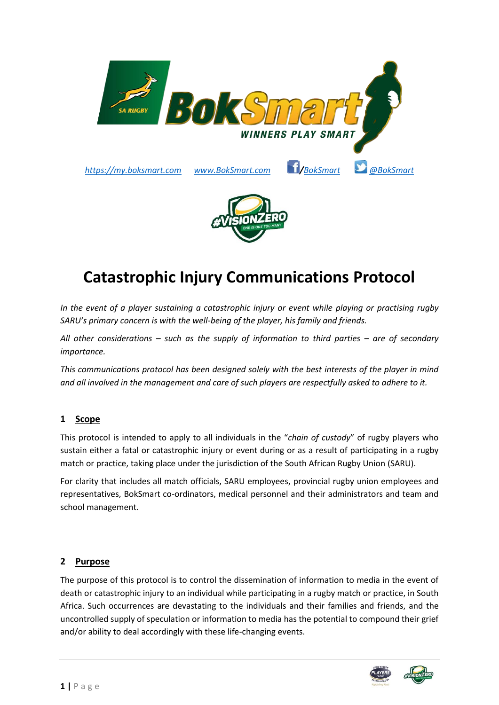

# **Catastrophic Injury Communications Protocol**

*In the event of a player sustaining a catastrophic injury or event while playing or practising rugby SARU's primary concern is with the well-being of the player, his family and friends.* 

*All other considerations – such as the supply of information to third parties – are of secondary importance.* 

*This communications protocol has been designed solely with the best interests of the player in mind and all involved in the management and care of such players are respectfully asked to adhere to it.*

# **1 Scope**

This protocol is intended to apply to all individuals in the "*chain of custody*" of rugby players who sustain either a fatal or catastrophic injury or event during or as a result of participating in a rugby match or practice, taking place under the jurisdiction of the South African Rugby Union (SARU).

For clarity that includes all match officials, SARU employees, provincial rugby union employees and representatives, BokSmart co-ordinators, medical personnel and their administrators and team and school management.

#### **2 Purpose**

The purpose of this protocol is to control the dissemination of information to media in the event of death or catastrophic injury to an individual while participating in a rugby match or practice, in South Africa. Such occurrences are devastating to the individuals and their families and friends, and the uncontrolled supply of speculation or information to media has the potential to compound their grief and/or ability to deal accordingly with these life-changing events.